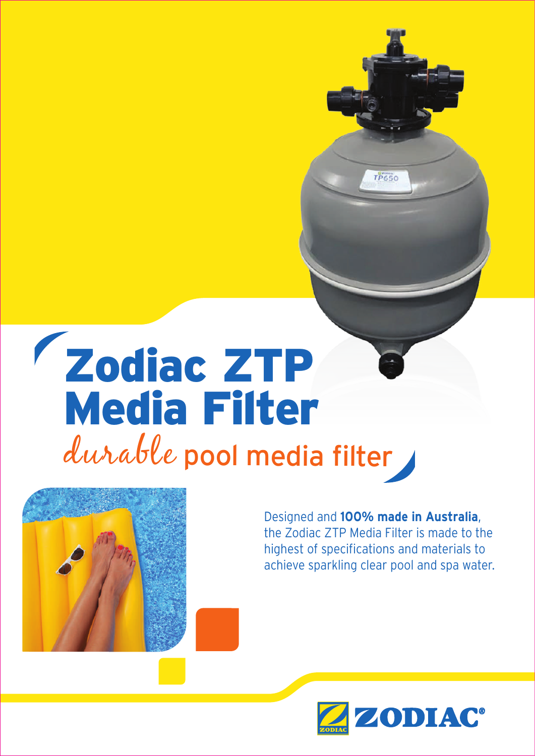# durable pool media filter Zodiac ZTP Media Filter



Designed and **100% made in Australia**, the Zodiac ZTP Media Filter is made to the highest of specifications and materials to achieve sparkling clear pool and spa water.

 $TP650$